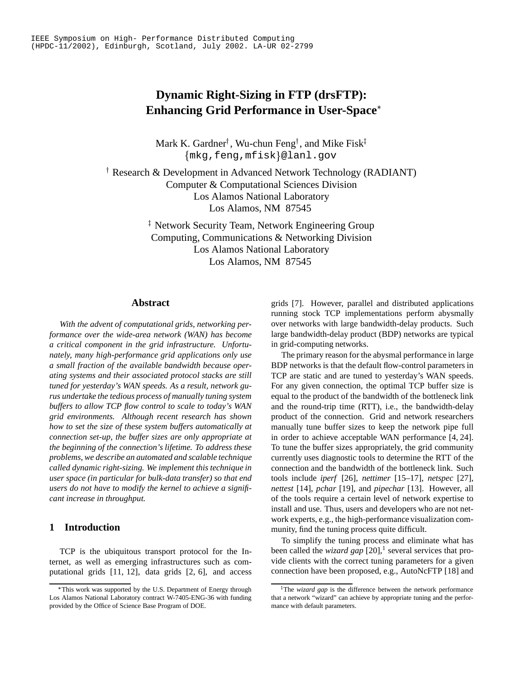# **Dynamic Right-Sizing in FTP (drsFTP): Enhancing Grid Performance in User-Space**

Mark K. Gardner<sup>†</sup>, Wu-chun Feng<sup>†</sup>, and Mike Fisk  $\{\texttt{mkg},\texttt{feng},\texttt{mfisk}\}$ @lanl.gov

 Research & Development in Advanced Network Technology (RADIANT) Computer & Computational Sciences Division Los Alamos National Laboratory Los Alamos, NM 87545

> - Network Security Team, Network Engineering Group Computing, Communications & Networking Division Los Alamos National Laboratory Los Alamos, NM 87545

#### **Abstract**

*With the advent of computational grids, networking performance over the wide-area network (WAN) has become a critical component in the grid infrastructure. Unfortunately, many high-performance grid applications only use a small fraction of the available bandwidth because operating systems and their associated protocol stacks are still tuned for yesterday's WAN speeds. As a result, network gurus undertake the tedious process of manually tuning system buffers to allow TCP flow control to scale to today's WAN grid environments. Although recent research has shown how to set the size of these system buffers automatically at connection set-up, the buffer sizes are only appropriate at the beginning of the connection's lifetime. To address these problems, we describe an automated and scalable technique called dynamic right-sizing. We implement this technique in user space (in particular for bulk-data transfer) so that end users do not have to modify the kernel to achieve a significant increase in throughput.*

## **1 Introduction**

TCP is the ubiquitous transport protocol for the Internet, as well as emerging infrastructures such as computational grids [11, 12], data grids [2, 6], and access grids [7]. However, parallel and distributed applications running stock TCP implementations perform abysmally over networks with large bandwidth-delay products. Such large bandwidth-delay product (BDP) networks are typical in grid-computing networks.

The primary reason for the abysmal performance in large BDP networks is that the default flow-control parameters in TCP are static and are tuned to yesterday's WAN speeds. For any given connection, the optimal TCP buffer size is equal to the product of the bandwidth of the bottleneck link and the round-trip time (RTT), i.e., the bandwidth-delay product of the connection. Grid and network researchers manually tune buffer sizes to keep the network pipe full in order to achieve acceptable WAN performance [4, 24]. To tune the buffer sizes appropriately, the grid community currently uses diagnostic tools to determine the RTT of the connection and the bandwidth of the bottleneck link. Such tools include *iperf* [26], *nettimer* [15–17], *netspec* [27], *nettest* [14], *pchar* [19], and *pipechar* [13]. However, all of the tools require a certain level of network expertise to install and use. Thus, users and developers who are not network experts, e.g., the high-performance visualization community, find the tuning process quite difficult.

To simplify the tuning process and eliminate what has been called the *wizard gap* [20],<sup>1</sup> several services that provide clients with the correct tuning parameters for a given connection have been proposed, e.g., AutoNcFTP [18] and

This work was supported by the U.S. Department of Energy through Los Alamos National Laboratory contract W-7405-ENG-36 with funding provided by the Office of Science Base Program of DOE.

<sup>&</sup>lt;sup>1</sup>The *wizard gap* is the difference between the network performance that a network "wizard" can achieve by appropriate tuning and the performance with default parameters.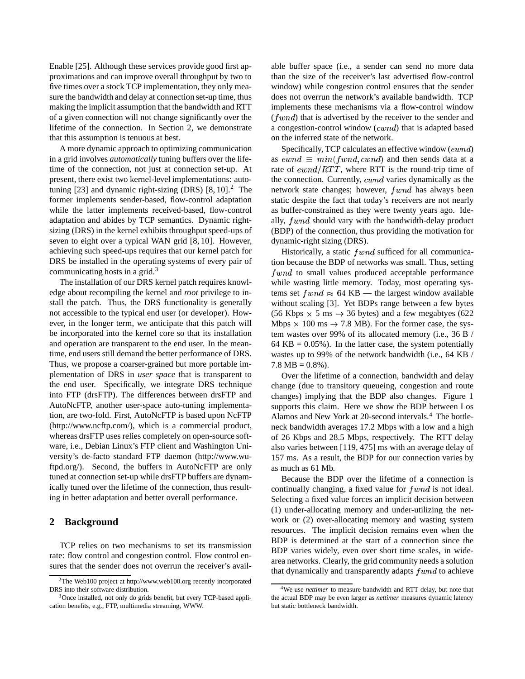Enable [25]. Although these services provide good first approximations and can improve overall throughput by two to five times over a stock TCP implementation, they only measure the bandwidth and delay at connection set-up time, thus making the implicit assumption that the bandwidth and RTT of a given connection will not change significantly over the lifetime of the connection. In Section 2, we demonstrate that this assumption is tenuous at best.

A more dynamic approach to optimizing communication in a grid involves *automatically* tuning buffers over the lifetime of the connection, not just at connection set-up. At present, there exist two kernel-level implementations: autotuning  $[23]$  and dynamic right-sizing (DRS)  $[8, 10]$ <sup>2</sup>. The former implements sender-based, flow-control adaptation while the latter implements received-based, flow-control adaptation and abides by TCP semantics. Dynamic rightsizing (DRS) in the kernel exhibits throughput speed-ups of seven to eight over a typical WAN grid [8, 10]. However, achieving such speed-ups requires that our kernel patch for DRS be installed in the operating systems of every pair of communicating hosts in a grid. $3$ 

The installation of our DRS kernel patch requires knowledge about recompiling the kernel and *root* privilege to install the patch. Thus, the DRS functionality is generally not accessible to the typical end user (or developer). However, in the longer term, we anticipate that this patch will be incorporated into the kernel core so that its installation and operation are transparent to the end user. In the meantime, end users still demand the better performance of DRS. Thus, we propose a coarser-grained but more portable implementation of DRS in *user space* that is transparent to the end user. Specifically, we integrate DRS technique into FTP (drsFTP). The differences between drsFTP and AutoNcFTP, another user-space auto-tuning implementation, are two-fold. First, AutoNcFTP is based upon NcFTP (http://www.ncftp.com/), which is a commercial product, whereas drsFTP uses relies completely on open-source software, i.e., Debian Linux's FTP client and Washington University's de-facto standard FTP daemon (http://www.wuftpd.org/). Second, the buffers in AutoNcFTP are only tuned at connection set-up while drsFTP buffers are dynamically tuned over the lifetime of the connection, thus resulting in better adaptation and better overall performance.

# **2 Background**

TCP relies on two mechanisms to set its transmission rate: flow control and congestion control. Flow control ensures that the sender does not overrun the receiver's available buffer space (i.e., a sender can send no more data than the size of the receiver's last advertised flow-control window) while congestion control ensures that the sender does not overrun the network's available bandwidth. TCP implements these mechanisms via a flow-control window  $(fwnd)$  that is advertised by the receiver to the sender and a congestion-control window  $(cwnd)$  that is adapted based on the inferred state of the network.

Specifically, TCP calculates an effective window  $(ewnd)$ as  $\mathit{ewnd} \equiv \mathit{min}(\mathit{fwnd}, \mathit{cwnd})$  and then sends data at a rate of  $\mathit{ewnd}/\mathit{RTT}$ , where RTT is the round-trip time of the connection. Currently,  $\,cwnd$  varies dynamically as the network state changes; however,  $fwnd$  has always been static despite the fact that today's receivers are not nearly as buffer-constrained as they were twenty years ago. Ideally,  $fwnd$  should vary with the bandwidth-delay product (BDP) of the connection, thus providing the motivation for dynamic-right sizing (DRS).

Historically, a static  $fwnd$  sufficed for all communication because the BDP of networks was small. Thus, setting  $fwnd$  to small values produced acceptable performance while wasting little memory. Today, most operating systems set  $fwnd \approx 64$  KB — the largest window available without scaling [3]. Yet BDPs range between a few bytes (56 Kbps  $\times$  5 ms  $\rightarrow$  36 bytes) and a few megabtyes (622 Mbps  $\times$  100 ms  $\rightarrow$  7.8 MB). For the former case, the system wastes over 99% of its allocated memory (i.e., 36 B / 64 KB =  $0.05\%$ ). In the latter case, the system potentially wastes up to 99% of the network bandwidth (i.e., 64 KB /  $7.8 \text{ MB} = 0.8\%$ ).

Over the lifetime of a connection, bandwidth and delay change (due to transitory queueing, congestion and route changes) implying that the BDP also changes. Figure 1 supports this claim. Here we show the BDP between Los Alamos and New York at 20-second intervals.<sup>4</sup> The bottleneck bandwidth averages 17.2 Mbps with a low and a high of 26 Kbps and 28.5 Mbps, respectively. The RTT delay also varies between [119, 475] ms with an average delay of 157 ms. As a result, the BDP for our connection varies by as much as 61 Mb.

Because the BDP over the lifetime of a connection is continually changing, a fixed value for  $fwnd$  is not ideal. Selecting a fixed value forces an implicit decision between (1) under-allocating memory and under-utilizing the network or (2) over-allocating memory and wasting system resources. The implicit decision remains even when the BDP is determined at the start of a connection since the BDP varies widely, even over short time scales, in widearea networks. Clearly, the grid community needs a solution that dynamically and transparently adapts  $fwnd$  to achieve

<sup>2</sup>The Web100 project at http://www.web100.org recently incorporated DRS into their software distribution.

<sup>3</sup>Once installed, not only do grids benefit, but every TCP-based application benefits, e.g., FTP, multimedia streaming, WWW.

<sup>4</sup>We use *nettimer* to measure bandwidth and RTT delay, but note that the actual BDP may be even larger as *nettimer* measures dynamic latency but static bottleneck bandwidth.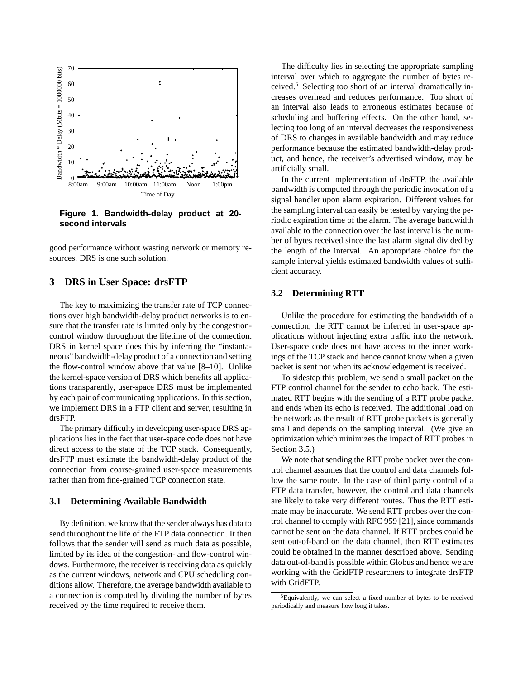

**Figure 1. Bandwidth-delay product at 20 second intervals**

good performance without wasting network or memory resources. DRS is one such solution.

# **3 DRS in User Space: drsFTP**

The key to maximizing the transfer rate of TCP connections over high bandwidth-delay product networks is to ensure that the transfer rate is limited only by the congestioncontrol window throughout the lifetime of the connection. DRS in kernel space does this by inferring the "instantaneous" bandwidth-delay product of a connection and setting the flow-control window above that value [8–10]. Unlike the kernel-space version of DRS which benefits all applications transparently, user-space DRS must be implemented by each pair of communicating applications. In this section, we implement DRS in a FTP client and server, resulting in drsFTP.

The primary difficulty in developing user-space DRS applications lies in the fact that user-space code does not have direct access to the state of the TCP stack. Consequently, drsFTP must estimate the bandwidth-delay product of the connection from coarse-grained user-space measurements rather than from fine-grained TCP connection state.

## **3.1 Determining Available Bandwidth**

By definition, we know that the sender always has data to send throughout the life of the FTP data connection. It then follows that the sender will send as much data as possible, limited by its idea of the congestion- and flow-control windows. Furthermore, the receiver is receiving data as quickly as the current windows, network and CPU scheduling conditions allow. Therefore, the average bandwidth available to a connection is computed by dividing the number of bytes received by the time required to receive them.

The difficulty lies in selecting the appropriate sampling interval over which to aggregate the number of bytes received.<sup>5</sup> Selecting too short of an interval dramatically increases overhead and reduces performance. Too short of an interval also leads to erroneous estimates because of scheduling and buffering effects. On the other hand, selecting too long of an interval decreases the responsiveness of DRS to changes in available bandwidth and may reduce performance because the estimated bandwidth-delay product, and hence, the receiver's advertised window, may be artificially small.

In the current implementation of drsFTP, the available bandwidth is computed through the periodic invocation of a signal handler upon alarm expiration. Different values for the sampling interval can easily be tested by varying the periodic expiration time of the alarm. The average bandwidth available to the connection over the last interval is the number of bytes received since the last alarm signal divided by the length of the interval. An appropriate choice for the sample interval yields estimated bandwidth values of sufficient accuracy.

### **3.2 Determining RTT**

Unlike the procedure for estimating the bandwidth of a connection, the RTT cannot be inferred in user-space applications without injecting extra traffic into the network. User-space code does not have access to the inner workings of the TCP stack and hence cannot know when a given packet is sent nor when its acknowledgement is received.

To sidestep this problem, we send a small packet on the FTP control channel for the sender to echo back. The estimated RTT begins with the sending of a RTT probe packet and ends when its echo is received. The additional load on the network as the result of RTT probe packets is generally small and depends on the sampling interval. (We give an optimization which minimizes the impact of RTT probes in Section 3.5.)

We note that sending the RTT probe packet over the control channel assumes that the control and data channels follow the same route. In the case of third party control of a FTP data transfer, however, the control and data channels are likely to take very different routes. Thus the RTT estimate may be inaccurate. We send RTT probes over the control channel to comply with RFC 959 [21], since commands cannot be sent on the data channel. If RTT probes could be sent out-of-band on the data channel, then RTT estimates could be obtained in the manner described above. Sending data out-of-band is possible within Globus and hence we are working with the GridFTP researchers to integrate drsFTP with GridFTP.

<sup>5</sup>Equivalently, we can select a fixed number of bytes to be received periodically and measure how long it takes.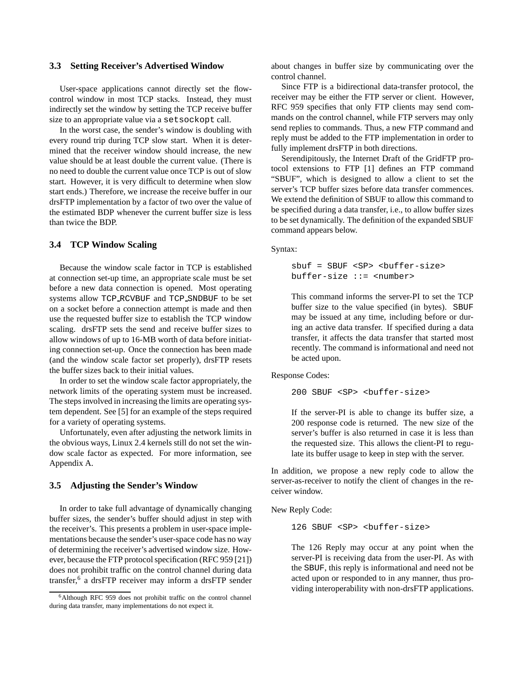# **3.3 Setting Receiver's Advertised Window**

User-space applications cannot directly set the flowcontrol window in most TCP stacks. Instead, they must indirectly set the window by setting the TCP receive buffer size to an appropriate value via a setsockopt call.

In the worst case, the sender's window is doubling with every round trip during TCP slow start. When it is determined that the receiver window should increase, the new value should be at least double the current value. (There is no need to double the current value once TCP is out of slow start. However, it is very difficult to determine when slow start ends.) Therefore, we increase the receive buffer in our drsFTP implementation by a factor of two over the value of the estimated BDP whenever the current buffer size is less than twice the BDP.

# **3.4 TCP Window Scaling**

Because the window scale factor in TCP is established at connection set-up time, an appropriate scale must be set before a new data connection is opened. Most operating systems allow TCP RCVBUF and TCP SNDBUF to be set on a socket before a connection attempt is made and then use the requested buffer size to establish the TCP window scaling. drsFTP sets the send and receive buffer sizes to allow windows of up to 16-MB worth of data before initiating connection set-up. Once the connection has been made (and the window scale factor set properly), drsFTP resets the buffer sizes back to their initial values.

In order to set the window scale factor appropriately, the network limits of the operating system must be increased. The steps involved in increasing the limits are operating system dependent. See [5] for an example of the steps required for a variety of operating systems.

Unfortunately, even after adjusting the network limits in the obvious ways, Linux 2.4 kernels still do not set the window scale factor as expected. For more information, see Appendix A.

## **3.5 Adjusting the Sender's Window**

In order to take full advantage of dynamically changing buffer sizes, the sender's buffer should adjust in step with the receiver's. This presents a problem in user-space implementations because the sender's user-space code has no way of determining the receiver's advertised window size. However, because the FTP protocol specification (RFC 959 [21]) does not prohibit traffic on the control channel during data transfer, 6 a drsFTP receiver may inform a drsFTP sender

about changes in buffer size by communicating over the control channel.

Since FTP is a bidirectional data-transfer protocol, the receiver may be either the FTP server or client. However, RFC 959 specifies that only FTP clients may send commands on the control channel, while FTP servers may only send replies to commands. Thus, a new FTP command and reply must be added to the FTP implementation in order to fully implement drsFTP in both directions.

Serendipitously, the Internet Draft of the GridFTP protocol extensions to FTP [1] defines an FTP command "SBUF", which is designed to allow a client to set the server's TCP buffer sizes before data transfer commences. We extend the definition of SBUF to allow this command to be specified during a data transfer, i.e., to allow buffer sizes to be set dynamically. The definition of the expanded SBUF command appears below.

Syntax:

```
sbuf = SBUF <SP> <buffer-size>
buffer-size ::= <number>
```
This command informs the server-PI to set the TCP buffer size to the value specified (in bytes). SBUF may be issued at any time, including before or during an active data transfer. If specified during a data transfer, it affects the data transfer that started most recently. The command is informational and need not be acted upon.

Response Codes:

200 SBUF <SP> <buffer-size>

If the server-PI is able to change its buffer size, a 200 response code is returned. The new size of the server's buffer is also returned in case it is less than the requested size. This allows the client-PI to regulate its buffer usage to keep in step with the server.

In addition, we propose a new reply code to allow the server-as-receiver to notify the client of changes in the receiver window.

New Reply Code:

126 SBUF <SP> <br/>buffer-size>

The 126 Reply may occur at any point when the server-PI is receiving data from the user-PI. As with the SBUF, this reply is informational and need not be acted upon or responded to in any manner, thus providing interoperability with non-drsFTP applications.

<sup>6</sup>Although RFC 959 does not prohibit traffic on the control channel during data transfer, many implementations do not expect it.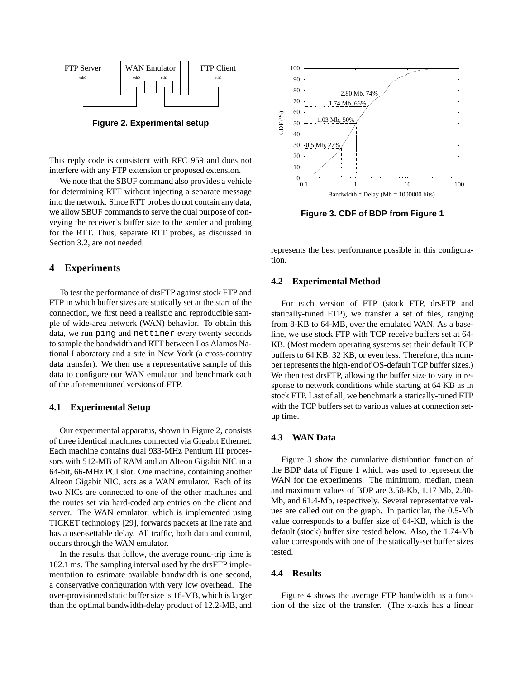

**Figure 2. Experimental setup**

This reply code is consistent with RFC 959 and does not interfere with any FTP extension or proposed extension.

We note that the SBUF command also provides a vehicle for determining RTT without injecting a separate message into the network. Since RTT probes do not contain any data, we allow SBUF commands to serve the dual purpose of conveying the receiver's buffer size to the sender and probing for the RTT. Thus, separate RTT probes, as discussed in Section 3.2, are not needed.

# **4 Experiments**

To test the performance of drsFTP against stock FTP and FTP in which buffer sizes are statically set at the start of the connection, we first need a realistic and reproducible sample of wide-area network (WAN) behavior. To obtain this data, we run ping and nettimer every twenty seconds to sample the bandwidth and RTT between Los Alamos National Laboratory and a site in New York (a cross-country data transfer). We then use a representative sample of this data to configure our WAN emulator and benchmark each of the aforementioned versions of FTP.

#### **4.1 Experimental Setup**

Our experimental apparatus, shown in Figure 2, consists of three identical machines connected via Gigabit Ethernet. Each machine contains dual 933-MHz Pentium III processors with 512-MB of RAM and an Alteon Gigabit NIC in a 64-bit, 66-MHz PCI slot. One machine, containing another Alteon Gigabit NIC, acts as a WAN emulator. Each of its two NICs are connected to one of the other machines and the routes set via hard-coded arp entries on the client and server. The WAN emulator, which is implemented using TICKET technology [29], forwards packets at line rate and has a user-settable delay. All traffic, both data and control, occurs through the WAN emulator.

In the results that follow, the average round-trip time is 102.1 ms. The sampling interval used by the drsFTP implementation to estimate available bandwidth is one second, a conservative configuration with very low overhead. The over-provisioned static buffer size is 16-MB, which is larger than the optimal bandwidth-delay product of 12.2-MB, and



**Figure 3. CDF of BDP from Figure 1**

represents the best performance possible in this configuration.

# **4.2 Experimental Method**

For each version of FTP (stock FTP, drsFTP and statically-tuned FTP), we transfer a set of files, ranging from 8-KB to 64-MB, over the emulated WAN. As a baseline, we use stock FTP with TCP receive buffers set at 64- KB. (Most modern operating systems set their default TCP buffers to 64 KB, 32 KB, or even less. Therefore, this number represents the high-end of OS-default TCP buffer sizes.) We then test drsFTP, allowing the buffer size to vary in response to network conditions while starting at 64 KB as in stock FTP. Last of all, we benchmark a statically-tuned FTP with the TCP buffers set to various values at connection setup time.

## **4.3 WAN Data**

Figure 3 show the cumulative distribution function of the BDP data of Figure 1 which was used to represent the WAN for the experiments. The minimum, median, mean and maximum values of BDP are 3.58-Kb, 1.17 Mb, 2.80- Mb, and 61.4-Mb, respectively. Several representative values are called out on the graph. In particular, the 0.5-Mb value corresponds to a buffer size of 64-KB, which is the default (stock) buffer size tested below. Also, the 1.74-Mb value corresponds with one of the statically-set buffer sizes tested.

#### **4.4 Results**

Figure 4 shows the average FTP bandwidth as a function of the size of the transfer. (The x-axis has a linear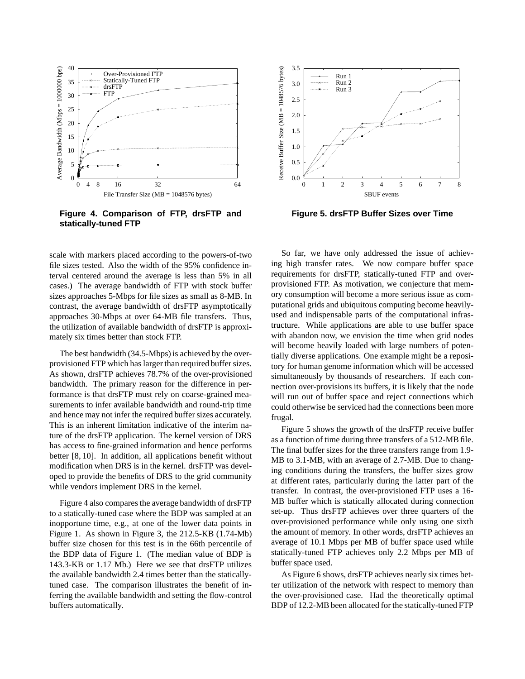

**Figure 4. Comparison of FTP, drsFTP and statically-tuned FTP**

scale with markers placed according to the powers-of-two file sizes tested. Also the width of the 95% confidence interval centered around the average is less than 5% in all cases.) The average bandwidth of FTP with stock buffer sizes approaches 5-Mbps for file sizes as small as 8-MB. In contrast, the average bandwidth of drsFTP asymptotically approaches 30-Mbps at over 64-MB file transfers. Thus, the utilization of available bandwidth of drsFTP is approximately six times better than stock FTP.

The best bandwidth (34.5-Mbps) is achieved by the overprovisioned FTP which has larger than required buffer sizes. As shown, drsFTP achieves 78.7% of the over-provisioned bandwidth. The primary reason for the difference in performance is that drsFTP must rely on coarse-grained measurements to infer available bandwidth and round-trip time and hence may not infer the required buffer sizes accurately. This is an inherent limitation indicative of the interim nature of the drsFTP application. The kernel version of DRS has access to fine-grained information and hence performs better [8, 10]. In addition, all applications benefit without modification when DRS is in the kernel. drsFTP was developed to provide the benefits of DRS to the grid community while vendors implement DRS in the kernel.

Figure 4 also compares the average bandwidth of drsFTP to a statically-tuned case where the BDP was sampled at an inopportune time, e.g., at one of the lower data points in Figure 1. As shown in Figure 3, the 212.5-KB (1.74-Mb) buffer size chosen for this test is in the 66th percentile of the BDP data of Figure 1. (The median value of BDP is 143.3-KB or 1.17 Mb.) Here we see that drsFTP utilizes the available bandwidth 2.4 times better than the staticallytuned case. The comparison illustrates the benefit of inferring the available bandwidth and setting the flow-control buffers automatically.



**Figure 5. drsFTP Buffer Sizes over Time**

So far, we have only addressed the issue of achieving high transfer rates. We now compare buffer space requirements for drsFTP, statically-tuned FTP and overprovisioned FTP. As motivation, we conjecture that memory consumption will become a more serious issue as computational grids and ubiquitous computing become heavilyused and indispensable parts of the computational infrastructure. While applications are able to use buffer space with abandon now, we envision the time when grid nodes will become heavily loaded with large numbers of potentially diverse applications. One example might be a repository for human genome information which will be accessed simultaneously by thousands of researchers. If each connection over-provisions its buffers, it is likely that the node will run out of buffer space and reject connections which could otherwise be serviced had the connections been more frugal.

Figure 5 shows the growth of the drsFTP receive buffer as a function of time during three transfers of a 512-MB file. The final buffer sizes for the three transfers range from 1.9- MB to 3.1-MB, with an average of 2.7-MB. Due to changing conditions during the transfers, the buffer sizes grow at different rates, particularly during the latter part of the transfer. In contrast, the over-provisioned FTP uses a 16- MB buffer which is statically allocated during connection set-up. Thus drsFTP achieves over three quarters of the over-provisioned performance while only using one sixth the amount of memory. In other words, drsFTP achieves an average of 10.1 Mbps per MB of buffer space used while statically-tuned FTP achieves only 2.2 Mbps per MB of buffer space used.

As Figure 6 shows, drsFTP achieves nearly six times better utilization of the network with respect to memory than the over-provisioned case. Had the theoretically optimal BDP of 12.2-MB been allocated for the statically-tuned FTP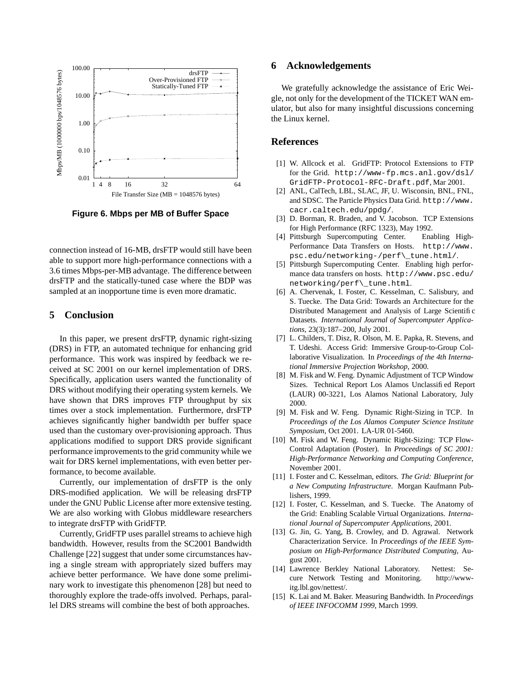

**Figure 6. Mbps per MB of Buffer Space**

connection instead of 16-MB, drsFTP would still have been able to support more high-performance connections with a 3.6 times Mbps-per-MB advantage. The difference between drsFTP and the statically-tuned case where the BDP was sampled at an inopportune time is even more dramatic.

## **5 Conclusion**

In this paper, we present drsFTP, dynamic right-sizing (DRS) in FTP, an automated technique for enhancing grid performance. This work was inspired by feedback we received at SC 2001 on our kernel implementation of DRS. Specifically, application users wanted the functionality of DRS without modifying their operating system kernels. We have shown that DRS improves FTP throughput by six times over a stock implementation. Furthermore, drsFTP achieves significantly higher bandwidth per buffer space used than the customary over-provisioning approach. Thus applications modified to support DRS provide significant performance improvements to the grid community while we wait for DRS kernel implementations, with even better performance, to become available.

Currently, our implementation of drsFTP is the only DRS-modified application. We will be releasing drsFTP under the GNU Public License after more extensive testing. We are also working with Globus middleware researchers to integrate drsFTP with GridFTP.

Currently, GridFTP uses parallel streams to achieve high bandwidth. However, results from the SC2001 Bandwidth Challenge [22] suggest that under some circumstances having a single stream with appropriately sized buffers may achieve better performance. We have done some preliminary work to investigate this phenomenon [28] but need to thoroughly explore the trade-offs involved. Perhaps, parallel DRS streams will combine the best of both approaches.

# **6 Acknowledgements**

We gratefully acknowledge the assistance of Eric Weigle, not only for the development of the TICKET WAN emulator, but also for many insightful discussions concerning the Linux kernel.

# **References**

- [1] W. Allcock et al. GridFTP: Protocol Extensions to FTP for the Grid. http://www-fp.mcs.anl.gov/dsl/ GridFTP-Protocol-RFC-Draft.pdf, Mar 2001.
- [2] ANL, CalTech, LBL, SLAC, JF, U. Wisconsin, BNL, FNL, and SDSC. The Particle Physics Data Grid. http://www. cacr.caltech.edu/ppdg/.
- [3] D. Borman, R. Braden, and V. Jacobson. TCP Extensions for High Performance (RFC 1323), May 1992.
- [4] Pittsburgh Supercomputing Center. Enabling High-Performance Data Transfers on Hosts. http://www. psc.edu/networking-/perf\\_tune.html/.
- [5] Pittsburgh Supercomputing Center. Enabling high performance data transfers on hosts. http://www.psc.edu/ networking/perf\\_tune.html.
- [6] A. Chervenak, I. Foster, C. Kesselman, C. Salisbury, and S. Tuecke. The Data Grid: Towards an Architecture for the Distributed Management and Analysis of Large Scientific Datasets. *International Journal of Supercomputer Applications*, 23(3):187–200, July 2001.
- [7] L. Childers, T. Disz, R. Olson, M. E. Papka, R. Stevens, and T. Udeshi. Access Grid: Immersive Group-to-Group Collaborative Visualization. In *Proceedings of the 4th International Immersive Projection Workshop*, 2000.
- [8] M. Fisk and W. Feng. Dynamic Adjustment of TCP Window Sizes. Technical Report Los Alamos Unclassified Report (LAUR) 00-3221, Los Alamos National Laboratory, July 2000.
- [9] M. Fisk and W. Feng. Dynamic Right-Sizing in TCP. In *Proceedings of the Los Alamos Computer Science Institute Symposium*, Oct 2001. LA-UR 01-5460.
- [10] M. Fisk and W. Feng. Dynamic Right-Sizing: TCP Flow-Control Adaptation (Poster). In *Proceedings of SC 2001: High-Performance Networking and Computing Conference*, November 2001.
- [11] I. Foster and C. Kesselman, editors. *The Grid: Blueprint for a New Computing Infrastructure*. Morgan Kaufmann Publishers, 1999.
- [12] I. Foster, C. Kesselman, and S. Tuecke. The Anatomy of the Grid: Enabling Scalable Virtual Organizations. *International Journal of Supercomputer Applications*, 2001.
- [13] G. Jin, G. Yang, B. Crowley, and D. Agrawal. Network Characterization Service. In *Proceedings of the IEEE Symposium on High-Performance Distributed Computing*, August 2001.
- [14] Lawrence Berkley National Laboratory. Nettest: Secure Network Testing and Monitoring. http://wwwitg.lbl.gov/nettest/.
- [15] K. Lai and M. Baker. Measuring Bandwidth. In *Proceedings of IEEE INFOCOMM 1999*, March 1999.